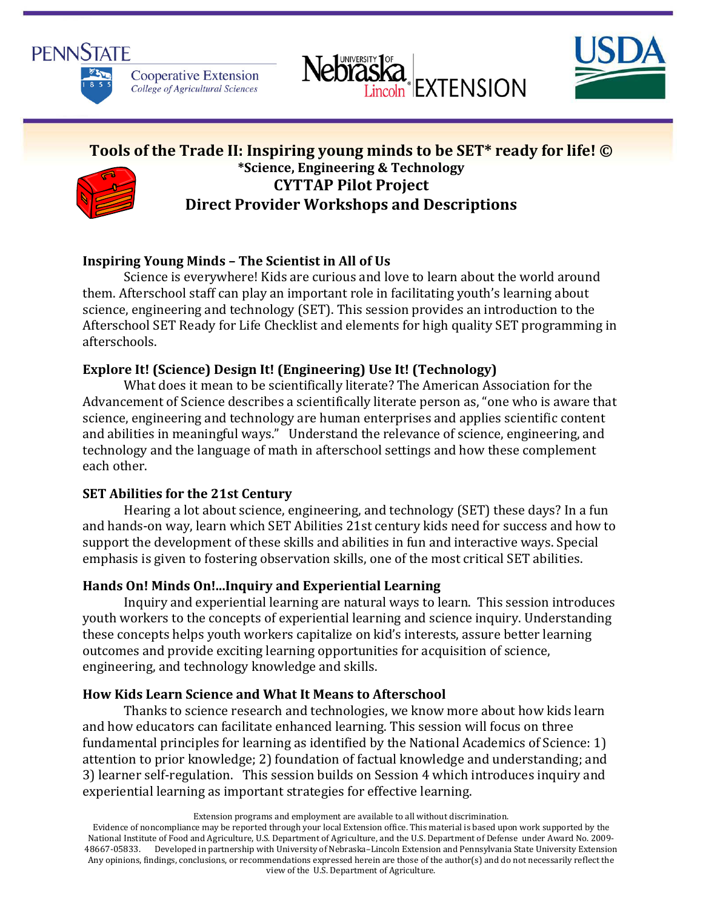





# **Tools of the Trade II: Inspiring young minds to be SET\* ready for life! © \*Science, Engineering & Technology CYTTAP Pilot Project Direct Provider Workshops and Descriptions**

## **Inspiring Young Minds – The Scientist in All of Us**

Science is everywhere! Kids are curious and love to learn about the world around them. Afterschool staff can play an important role in facilitating youth's learning about science, engineering and technology (SET). This session provides an introduction to the Afterschool SET Ready for Life Checklist and elements for high quality SET programming in afterschools.

## **Explore It! (Science) Design It! (Engineering) Use It! (Technology)**

What does it mean to be scientifically literate? The American Association for the Advancement of Science describes a scientifically literate person as, "one who is aware that science, engineering and technology are human enterprises and applies scientific content and abilities in meaningful ways." Understand the relevance of science, engineering, and technology and the language of math in afterschool settings and how these complement each other.

### **SET Abilities for the 21st Century**

Hearing a lot about science, engineering, and technology (SET) these days? In a fun and hands-on way, learn which SET Abilities 21st century kids need for success and how to support the development of these skills and abilities in fun and interactive ways. Special emphasis is given to fostering observation skills, one of the most critical SET abilities.

### **Hands On! Minds On!...Inquiry and Experiential Learning**

Inquiry and experiential learning are natural ways to learn. This session introduces youth workers to the concepts of experiential learning and science inquiry. Understanding these concepts helps youth workers capitalize on kid's interests, assure better learning outcomes and provide exciting learning opportunities for acquisition of science, engineering, and technology knowledge and skills.

### **How Kids Learn Science and What It Means to Afterschool**

Thanks to science research and technologies, we know more about how kids learn and how educators can facilitate enhanced learning. This session will focus on three fundamental principles for learning as identified by the National Academics of Science: 1) attention to prior knowledge; 2) foundation of factual knowledge and understanding; and 3) learner self-regulation. This session builds on Session 4 which introduces inquiry and experiential learning as important strategies for effective learning.

Extension programs and employment are available to all without discrimination.

Evidence of noncompliance may be reported through your local Extension office. This material is based upon work supported by the National Institute of Food and Agriculture, U.S. Department of Agriculture, and the U.S. Department of Defense under Award No. 2009- 48667-05833. Developed in partnership with University of Nebraska–Lincoln Extension and Pennsylvania State University Extension Any opinions, findings, conclusions, or recommendations expressed herein are those of the author(s) and do not necessarily reflect the view of the U.S. Department of Agriculture.